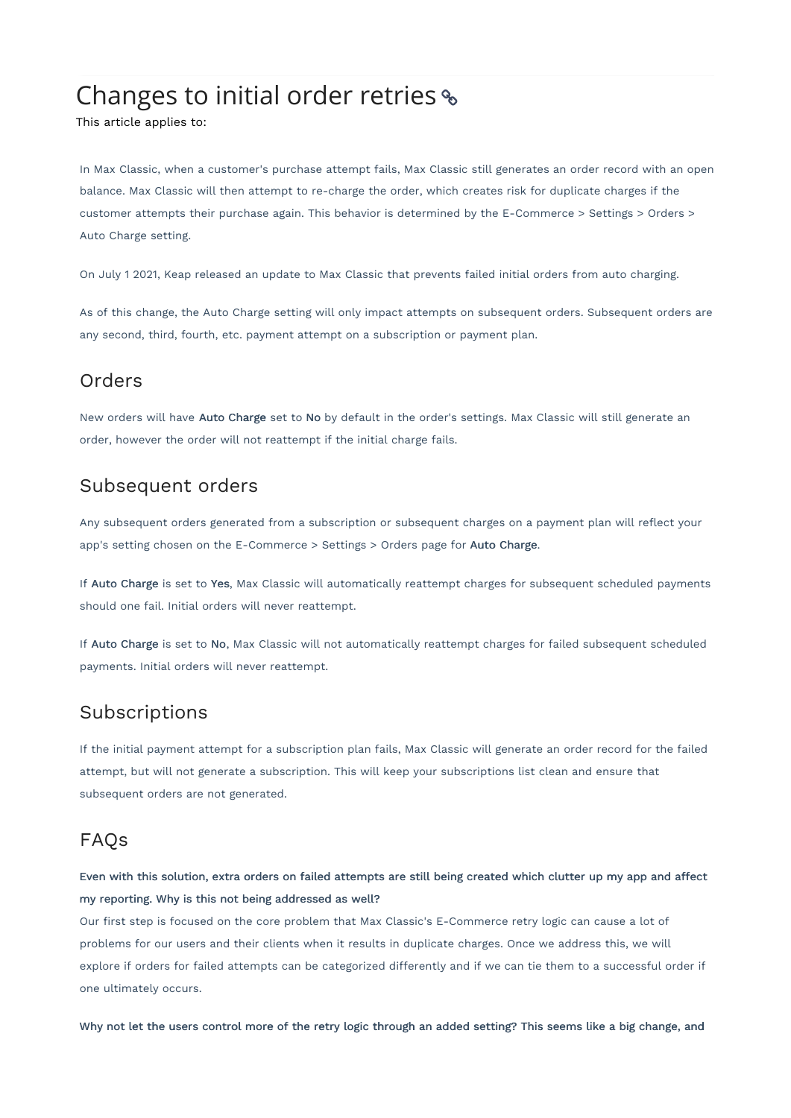# Changes to initial order retries

This article applies to:

In Max Classic, when a customer's purchase attempt fails, Max Classic still generates an order record with an open balance. Max Classic will then attempt to re-charge the order, which creates risk for duplicate charges if the customer attempts their purchase again. This behavior is determined by the E-Commerce > Settings > Orders > Auto Charge setting.

On July 1 2021, Keap released an update to Max Classic that prevents failed initial orders from auto charging.

As of this change, the Auto Charge setting will only impact attempts on subsequent orders. Subsequent orders are any second, third, fourth, etc. payment attempt on a subscription or payment plan.

# Orders

New orders will have Auto Charge set to No by default in the order's settings. Max Classic will still generate an order, however the order will not reattempt if the initial charge fails.

# Subsequent orders

Any subsequent orders generated from a subscription or subsequent charges on a payment plan will reflect your app's setting chosen on the E-Commerce > Settings > Orders page for Auto Charge.

If Auto Charge is set to Yes, Max Classic will automatically reattempt charges for subsequent scheduled payments should one fail. Initial orders will never reattempt.

If Auto Charge is set to No, Max Classic will not automatically reattempt charges for failed subsequent scheduled payments. Initial orders will never reattempt.

# Subscriptions

If the initial payment attempt for a subscription plan fails, Max Classic will generate an order record for the failed attempt, but will not generate a subscription. This will keep your subscriptions list clean and ensure that subsequent orders are not generated.

# FAQs

Even with this solution, extra orders on failed attempts are still being created which clutter up my app and affect my reporting. Why is this not being addressed as well?

Our first step is focused on the core problem that Max Classic's E-Commerce retry logic can cause a lot of problems for our users and their clients when it results in duplicate charges. Once we address this, we will explore if orders for failed attempts can be categorized differently and if we can tie them to a successful order if one ultimately occurs.

Why not let the users control more of the retry logic through an added setting? This seems like a big change, and